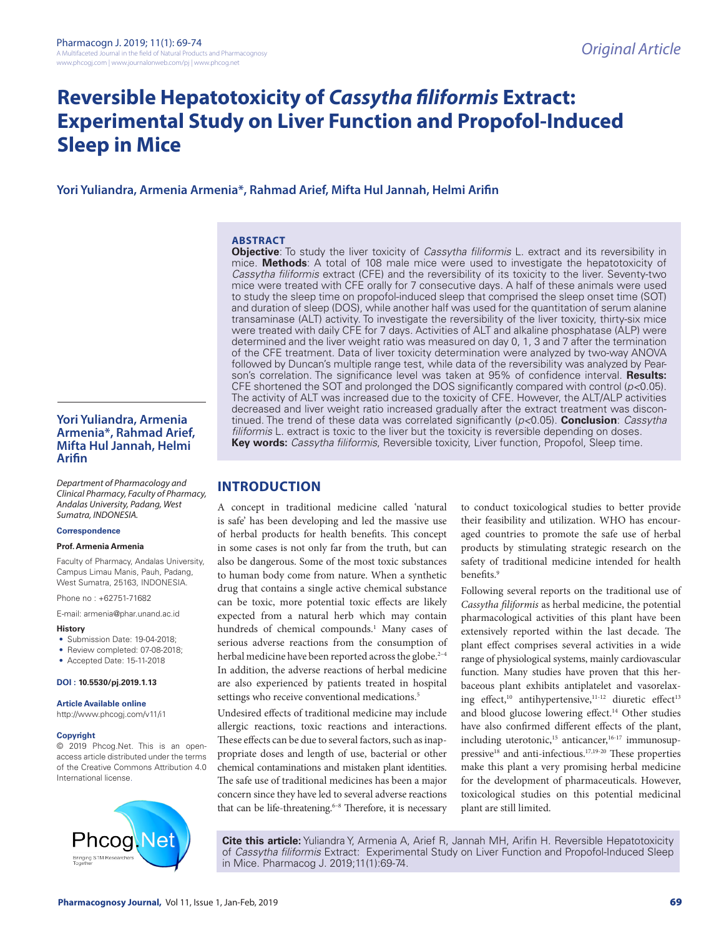# **Reversible Hepatotoxicity of** *Cassytha filiformis* **Extract: Experimental Study on Liver Function and Propofol-Induced Sleep in Mice**

## **Yori Yuliandra, Armenia Armenia\*, Rahmad Arief, Mifta Hul Jannah, Helmi Arifin**

#### **ABSTRACT**

**Objective**: To study the liver toxicity of *Cassytha filiformis* L. extract and its reversibility in mice. **Methods**: A total of 108 male mice were used to investigate the hepatotoxicity of *Cassytha filiformis* extract (CFE) and the reversibility of its toxicity to the liver. Seventy-two mice were treated with CFE orally for 7 consecutive days. A half of these animals were used to study the sleep time on propofol-induced sleep that comprised the sleep onset time (SOT) and duration of sleep (DOS), while another half was used for the quantitation of serum alanine transaminase (ALT) activity. To investigate the reversibility of the liver toxicity, thirty-six mice were treated with daily CFE for 7 days. Activities of ALT and alkaline phosphatase (ALP) were determined and the liver weight ratio was measured on day 0, 1, 3 and 7 after the termination of the CFE treatment. Data of liver toxicity determination were analyzed by two-way ANOVA followed by Duncan's multiple range test, while data of the reversibility was analyzed by Pearson's correlation. The significance level was taken at 95% of confidence interval. **Results:** CFE shortened the SOT and prolonged the DOS significantly compared with control (*p<*0.05). The activity of ALT was increased due to the toxicity of CFE. However, the ALT/ALP activities decreased and liver weight ratio increased gradually after the extract treatment was discontinued. The trend of these data was correlated significantly (*p<*0.05). **Conclusion**: *Cassytha filiformis* L. extract is toxic to the liver but the toxicity is reversible depending on doses. **Key words:** *Cassytha filiformis*, Reversible toxicity, Liver function, Propofol, Sleep time.

## **Yori Yuliandra, Armenia Armenia\*, Rahmad Arief, Mifta Hul Jannah, Helmi Arifin**

*Department of Pharmacology and Clinical Pharmacy, Faculty of Pharmacy, Andalas University, Padang, West Sumatra, INDONESIA.*

#### **Correspondence**

#### **Prof. Armenia Armenia**

Faculty of Pharmacy, Andalas University, Campus Limau Manis, Pauh, Padang, West Sumatra, 25163, INDONESIA.

Phone no : +62751-71682

E-mail: armenia@phar.unand.ac.id

#### **History**

- Submission Date: 19-04-2018;
- Review completed: 07-08-2018;
- Accepted Date: 15-11-2018

#### **DOI : 10.5530/pj.2019.1.13**

**Article Available online**  http://www.phcogj.com/v11/i1

#### **Copyright**

© 2019 Phcog.Net. This is an openaccess article distributed under the terms of the Creative Commons Attribution 4.0 International license.



## **INTRODUCTION**

A concept in traditional medicine called 'natural is safe' has been developing and led the massive use of herbal products for health benefits. This concept in some cases is not only far from the truth, but can also be dangerous. Some of the most toxic substances to human body come from nature. When a synthetic drug that contains a single active chemical substance can be toxic, more potential toxic effects are likely expected from a natural herb which may contain hundreds of chemical compounds.<sup>1</sup> Many cases of serious adverse reactions from the consumption of herbal medicine have been reported across the globe.<sup>2-4</sup> In addition, the adverse reactions of herbal medicine are also experienced by patients treated in hospital settings who receive conventional medications.<sup>5</sup>

Undesired effects of traditional medicine may include allergic reactions, toxic reactions and interactions. These effects can be due to several factors, such as inappropriate doses and length of use, bacterial or other chemical contaminations and mistaken plant identities. The safe use of traditional medicines has been a major concern since they have led to several adverse reactions that can be life-threatening. $6-8$  Therefore, it is necessary

to conduct toxicological studies to better provide their feasibility and utilization. WHO has encouraged countries to promote the safe use of herbal products by stimulating strategic research on the safety of traditional medicine intended for health benefits.<sup>9</sup>

Following several reports on the traditional use of *Cassytha filiformis* as herbal medicine, the potential pharmacological activities of this plant have been extensively reported within the last decade. The plant effect comprises several activities in a wide range of physiological systems, mainly cardiovascular function. Many studies have proven that this herbaceous plant exhibits antiplatelet and vasorelaxing effect,<sup>10</sup> antihypertensive,<sup>11-12</sup> diuretic effect<sup>13</sup> and blood glucose lowering effect.<sup>14</sup> Other studies have also confirmed different effects of the plant, including uterotonic,<sup>15</sup> anticancer,<sup>16-17</sup> immunosuppressive<sup>18</sup> and anti-infectious.<sup>17,19-20</sup> These properties make this plant a very promising herbal medicine for the development of pharmaceuticals. However, toxicological studies on this potential medicinal plant are still limited.

**Cite this article:** Yuliandra Y, Armenia A, Arief R, Jannah MH, Arifin H. Reversible Hepatotoxicity of *Cassytha filiformis* Extract: Experimental Study on Liver Function and Propofol-Induced Sleep in Mice. Pharmacog J. 2019;11(1):69-74.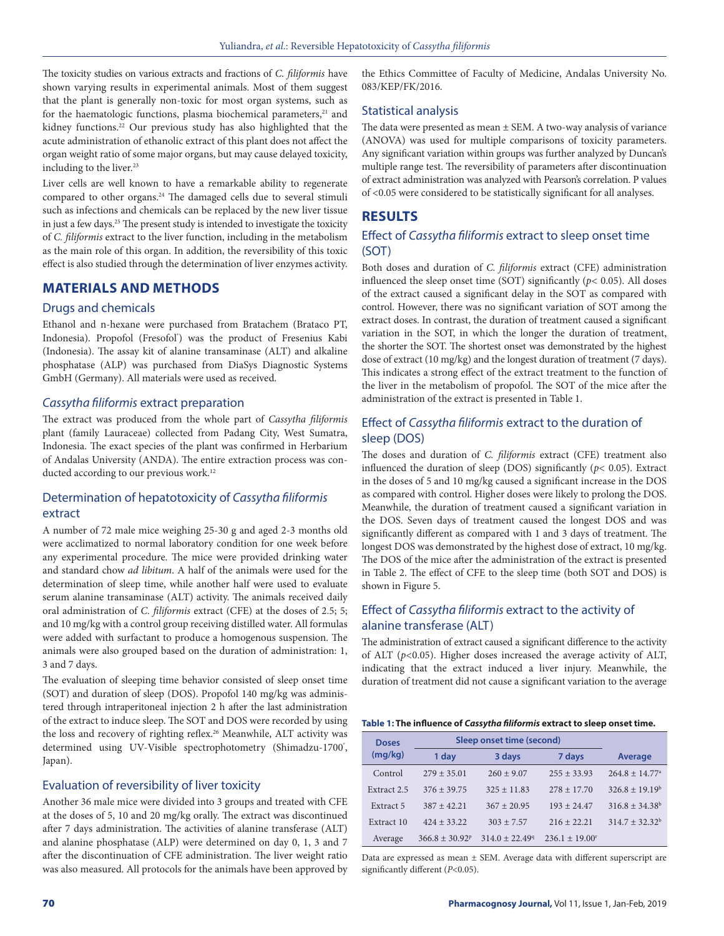The toxicity studies on various extracts and fractions of *C. filiformis* have shown varying results in experimental animals. Most of them suggest that the plant is generally non-toxic for most organ systems, such as for the haematologic functions, plasma biochemical parameters,<sup>21</sup> and kidney functions.<sup>22</sup> Our previous study has also highlighted that the acute administration of ethanolic extract of this plant does not affect the organ weight ratio of some major organs, but may cause delayed toxicity, including to the liver.<sup>23</sup>

Liver cells are well known to have a remarkable ability to regenerate compared to other organs.24 The damaged cells due to several stimuli such as infections and chemicals can be replaced by the new liver tissue in just a few days.25 The present study is intended to investigate the toxicity of *C. filiformis* extract to the liver function, including in the metabolism as the main role of this organ. In addition, the reversibility of this toxic effect is also studied through the determination of liver enzymes activity.

## **MATERIALS AND METHODS**

#### Drugs and chemicals

Ethanol and n-hexane were purchased from Bratachem (Brataco PT, Indonesia). Propofol (Fresofol') was the product of Fresenius Kabi (Indonesia). The assay kit of alanine transaminase (ALT) and alkaline phosphatase (ALP) was purchased from DiaSys Diagnostic Systems GmbH (Germany). All materials were used as received.

#### *Cassytha filiformis* extract preparation

The extract was produced from the whole part of *Cassytha filiformis* plant (family Lauraceae) collected from Padang City, West Sumatra, Indonesia. The exact species of the plant was confirmed in Herbarium of Andalas University (ANDA). The entire extraction process was conducted according to our previous work.<sup>12</sup>

## Determination of hepatotoxicity of *Cassytha filiformis* extract

A number of 72 male mice weighing 25-30 g and aged 2-3 months old were acclimatized to normal laboratory condition for one week before any experimental procedure. The mice were provided drinking water and standard chow *ad libitum*. A half of the animals were used for the determination of sleep time, while another half were used to evaluate serum alanine transaminase (ALT) activity. The animals received daily oral administration of *C. filiformis* extract (CFE) at the doses of 2.5; 5; and 10 mg/kg with a control group receiving distilled water. All formulas were added with surfactant to produce a homogenous suspension. The animals were also grouped based on the duration of administration: 1, 3 and 7 days.

The evaluation of sleeping time behavior consisted of sleep onset time (SOT) and duration of sleep (DOS). Propofol 140 mg/kg was administered through intraperitoneal injection 2 h after the last administration of the extract to induce sleep. The SOT and DOS were recorded by using the loss and recovery of righting reflex.<sup>26</sup> Meanwhile, ALT activity was determined using UV-Visible spectrophotometry (Shimadzu-1700°, Japan).

## Evaluation of reversibility of liver toxicity

Another 36 male mice were divided into 3 groups and treated with CFE at the doses of 5, 10 and 20 mg/kg orally. The extract was discontinued after 7 days administration. The activities of alanine transferase (ALT) and alanine phosphatase (ALP) were determined on day 0, 1, 3 and 7 after the discontinuation of CFE administration. The liver weight ratio was also measured. All protocols for the animals have been approved by

the Ethics Committee of Faculty of Medicine, Andalas University No. 083/KEP/FK/2016.

#### Statistical analysis

The data were presented as mean  $\pm$  SEM. A two-way analysis of variance (ANOVA) was used for multiple comparisons of toxicity parameters. Any significant variation within groups was further analyzed by Duncan's multiple range test. The reversibility of parameters after discontinuation of extract administration was analyzed with Pearson's correlation. P values of <0.05 were considered to be statistically significant for all analyses.

### **RESULTS**

## Effect of *Cassytha filiformis* extract to sleep onset time (SOT)

Both doses and duration of *C. filiformis* extract (CFE) administration influenced the sleep onset time (SOT) significantly (*p<* 0.05). All doses of the extract caused a significant delay in the SOT as compared with control. However, there was no significant variation of SOT among the extract doses. In contrast, the duration of treatment caused a significant variation in the SOT, in which the longer the duration of treatment, the shorter the SOT. The shortest onset was demonstrated by the highest dose of extract (10 mg/kg) and the longest duration of treatment (7 days). This indicates a strong effect of the extract treatment to the function of the liver in the metabolism of propofol. The SOT of the mice after the administration of the extract is presented in Table 1.

## Effect of *Cassytha filiformis* extract to the duration of sleep (DOS)

The doses and duration of *C. filiformis* extract (CFE) treatment also influenced the duration of sleep (DOS) significantly (*p<* 0.05). Extract in the doses of 5 and 10 mg/kg caused a significant increase in the DOS as compared with control. Higher doses were likely to prolong the DOS. Meanwhile, the duration of treatment caused a significant variation in the DOS. Seven days of treatment caused the longest DOS and was significantly different as compared with 1 and 3 days of treatment. The longest DOS was demonstrated by the highest dose of extract, 10 mg/kg. The DOS of the mice after the administration of the extract is presented in Table 2. The effect of CFE to the sleep time (both SOT and DOS) is shown in Figure 5.

## Effect of *Cassytha filiformis* extract to the activity of alanine transferase (ALT)

The administration of extract caused a significant difference to the activity of ALT (*p<*0.05). Higher doses increased the average activity of ALT, indicating that the extract induced a liver injury. Meanwhile, the duration of treatment did not cause a significant variation to the average

#### **Table 1: The influence of** *Cassytha filiformis* **extract to sleep onset time.**

| <b>Doses</b> | Sleep onset time (second) |                  |                   |                                |
|--------------|---------------------------|------------------|-------------------|--------------------------------|
| (mq/kg)      | 1 day                     | 3 days           | 7 days            | Average                        |
| Control      | $279 + 35.01$             | $260 + 9.07$     | $255 + 33.93$     | $264.8 \pm 14.77$ <sup>a</sup> |
| Extract 2.5  | $376 + 39.75$             | $325 + 11.83$    | $278 + 17.70$     | $326.8 + 19.19^{b}$            |
| Extract 5    | $387 + 42.21$             | $367 + 20.95$    | $193 + 24.47$     | $316.8 + 34.38^b$              |
| Extract 10   | $424 + 33.22$             | $303 + 7.57$     | $216 + 22.21$     | $314.7 + 32.32^b$              |
| Average      | $366.8 \pm 30.92^p$       | $314.0 + 22.499$ | $236.1 + 19.00^r$ |                                |

Data are expressed as mean ± SEM. Average data with different superscript are significantly different (*P*<0.05).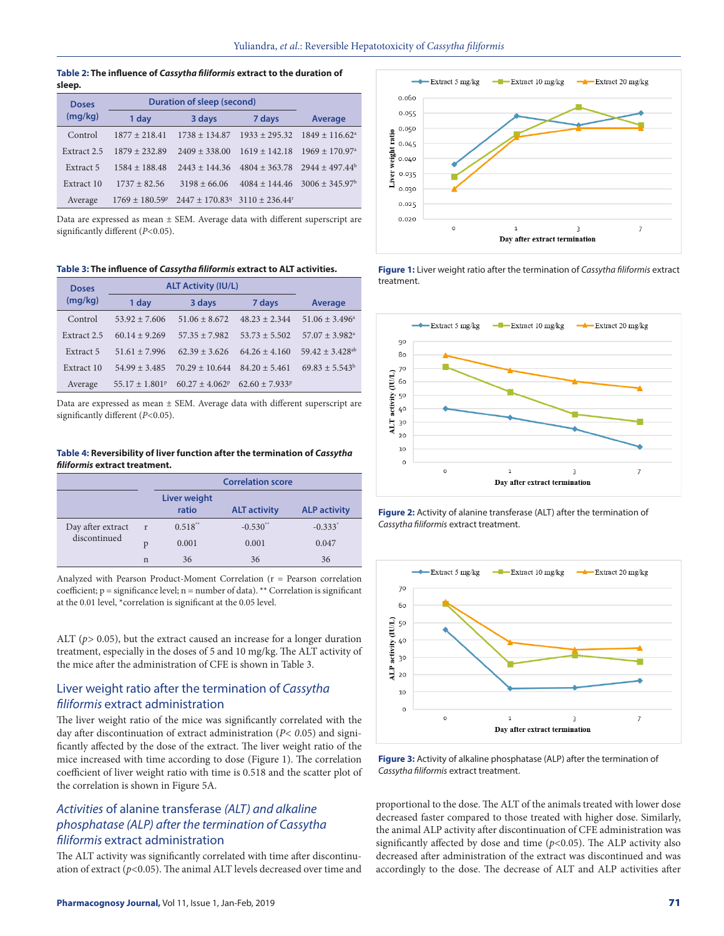#### **Table 2: The influence of** *Cassytha filiformis* **extract to the duration of sleep.**

| <b>Doses</b> | Duration of sleep (second) |                              |                              |                                |
|--------------|----------------------------|------------------------------|------------------------------|--------------------------------|
| (mg/kg)      | 1 day                      | 3 days                       | 7 days                       | <b>Average</b>                 |
| Control      | $1877 + 21841$             | $1738 + 134.87$              | $1933 + 295.32$              | $1849 + 116.62^{\circ}$        |
| Extract 2.5  | $1879 + 232.89$            | $2409 + 338.00$              | $1619 + 142.18$              | $1969 \pm 170.97$ <sup>a</sup> |
| Extract 5    | $1584 + 188.48$            | $2443 + 14436$               | $4804 + 363.78$              | $2944 + 497.44^b$              |
| Extract 10   | $1737 + 82.56$             | $3198 + 66.06$               | $4084 + 14446$               | $3006 \pm 345.97^b$            |
| Average      | $1769 + 180.59^{\circ}$    | $2447 + 170.83$ <sup>q</sup> | $3110 + 236.44$ <sup>r</sup> |                                |

Data are expressed as mean ± SEM. Average data with different superscript are significantly different (*P<*0.05).

#### **Table 3: The influence of** *Cassytha filiformis* **extract to ALT activities.**

| <b>Doses</b> | <b>ALT Activity (IU/L)</b>     |                    |                   |                               |
|--------------|--------------------------------|--------------------|-------------------|-------------------------------|
| (mq/kg)      | 1 day                          | 3 days             | 7 days            | <b>Average</b>                |
| Control      | $53.92 + 7.606$                | $51.06 + 8.672$    | $48.23 + 2.344$   | $51.06 \pm 3.496^a$           |
| Extract 2.5  | $60.14 + 9.269$                | $57.35 + 7.982$    | $53.73 + 5.502$   | $57.07 + 3.982$ <sup>a</sup>  |
| Extract 5    | $51.61 + 7.996$                | $62.39 + 3.626$    | $64.26 \pm 4.160$ | $59.42 + 3.428$ <sup>ab</sup> |
| Extract 10   | $54.99 + 3.485$                | $70.29 \pm 10.644$ | $84.20 \pm 5.461$ | $69.83 + 5.543^b$             |
| Average      | $55.17 \pm 1.801$ <sup>p</sup> | $60.27 + 4.062^p$  | $62.60 + 7.933^p$ |                               |

Data are expressed as mean ± SEM. Average data with different superscript are significantly different (*P<*0.05).

#### **Table 4: Reversibility of liver function after the termination of** *Cassytha filiformis* **extract treatment.**

|                   |              | <b>Correlation score</b>     |                     |                       |
|-------------------|--------------|------------------------------|---------------------|-----------------------|
|                   |              | <b>Liver weight</b><br>ratio | <b>ALT activity</b> | <b>ALP activity</b>   |
| Day after extract | $\mathbf{r}$ | $0.518**$                    | $-0.530$ **         | $-0.333$ <sup>*</sup> |
| discontinued      | p            | 0.001                        | 0.001               | 0.047                 |
|                   | n            | 36                           | 36                  | 36                    |

Analyzed with Pearson Product-Moment Correlation (r = Pearson correlation coefficient; p = significance level; n = number of data). \*\* Correlation is significant at the 0.01 level, \*correlation is significant at the 0.05 level.

ALT (*p>* 0.05), but the extract caused an increase for a longer duration treatment, especially in the doses of 5 and 10 mg/kg. The ALT activity of the mice after the administration of CFE is shown in Table 3.

## Liver weight ratio after the termination of *Cassytha filiformis* extract administration

The liver weight ratio of the mice was significantly correlated with the day after discontinuation of extract administration (*P< 0*.05) and significantly affected by the dose of the extract. The liver weight ratio of the mice increased with time according to dose (Figure 1). The correlation coefficient of liver weight ratio with time is 0.518 and the scatter plot of the correlation is shown in Figure 5A.

## *Activities* of alanine transferase *(ALT) and alkaline phosphatase (ALP) after the termination of Cassytha filiformis* extract administration

The ALT activity was significantly correlated with time after discontinuation of extract (*p<*0.05). The animal ALT levels decreased over time and



**Figure 1:** Liver weight ratio after the termination of *Cassytha filiformis* extract treatment.



**Figure 2:** Activity of alanine transferase (ALT) after the termination of *Cassytha filiformis* extract treatment.



**Figure 3:** Activity of alkaline phosphatase (ALP) after the termination of *Cassytha filiformis* extract treatment.

proportional to the dose. The ALT of the animals treated with lower dose decreased faster compared to those treated with higher dose. Similarly, the animal ALP activity after discontinuation of CFE administration was significantly affected by dose and time (*p<*0.05). The ALP activity also decreased after administration of the extract was discontinued and was accordingly to the dose. The decrease of ALT and ALP activities after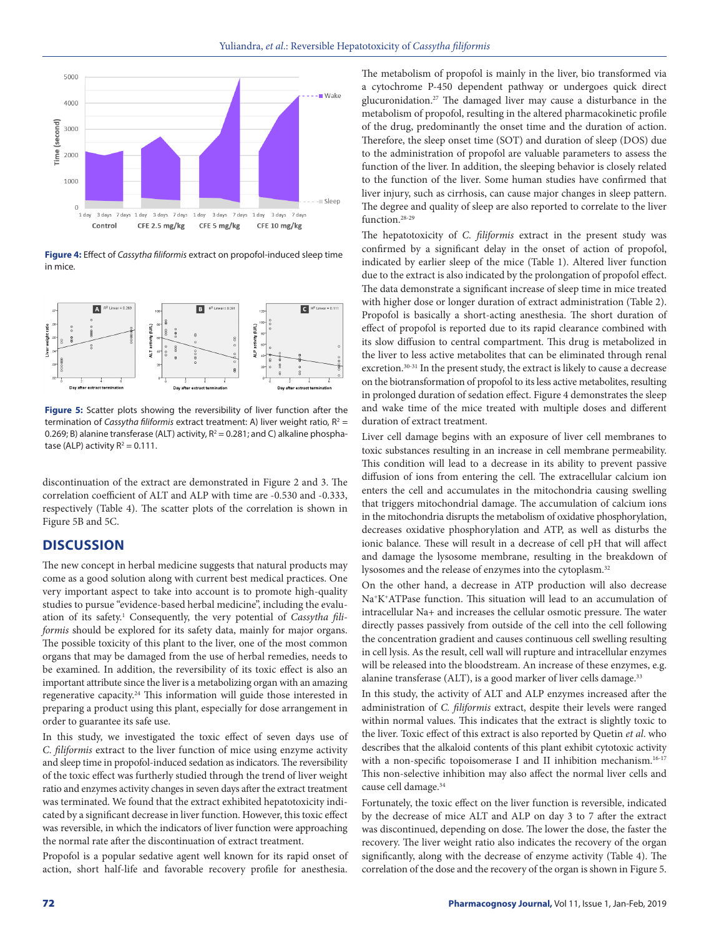

**Figure 4:** Effect of *Cassytha filiformis* extract on propofol-induced sleep time in mice.



**Figure 5:** Scatter plots showing the reversibility of liver function after the termination of *Cassytha filiformis* extract treatment: A) liver weight ratio,  $R^2 =$ 0.269; B) alanine transferase (ALT) activity,  $R^2 = 0.281$ ; and C) alkaline phosphatase (ALP) activity  $R^2 = 0.111$ .

discontinuation of the extract are demonstrated in Figure 2 and 3. The correlation coefficient of ALT and ALP with time are -0.530 and -0.333, respectively (Table 4). The scatter plots of the correlation is shown in Figure 5B and 5C.

## **DISCUSSION**

The new concept in herbal medicine suggests that natural products may come as a good solution along with current best medical practices. One very important aspect to take into account is to promote high-quality studies to pursue "evidence-based herbal medicine", including the evaluation of its safety.<sup>1</sup> Consequently, the very potential of *Cassytha filiformis* should be explored for its safety data, mainly for major organs. The possible toxicity of this plant to the liver, one of the most common organs that may be damaged from the use of herbal remedies, needs to be examined. In addition, the reversibility of its toxic effect is also an important attribute since the liver is a metabolizing organ with an amazing regenerative capacity.<sup>24</sup> This information will guide those interested in preparing a product using this plant, especially for dose arrangement in order to guarantee its safe use.

In this study, we investigated the toxic effect of seven days use of *C. filiformis* extract to the liver function of mice using enzyme activity and sleep time in propofol-induced sedation as indicators. The reversibility of the toxic effect was furtherly studied through the trend of liver weight ratio and enzymes activity changes in seven days after the extract treatment was terminated. We found that the extract exhibited hepatotoxicity indicated by a significant decrease in liver function. However, this toxic effect was reversible, in which the indicators of liver function were approaching the normal rate after the discontinuation of extract treatment.

Propofol is a popular sedative agent well known for its rapid onset of action, short half-life and favorable recovery profile for anesthesia.

The metabolism of propofol is mainly in the liver, bio transformed via a cytochrome P-450 dependent pathway or undergoes quick direct glucuronidation.27 The damaged liver may cause a disturbance in the metabolism of propofol, resulting in the altered pharmacokinetic profile of the drug, predominantly the onset time and the duration of action. Therefore, the sleep onset time (SOT) and duration of sleep (DOS) due to the administration of propofol are valuable parameters to assess the function of the liver. In addition, the sleeping behavior is closely related to the function of the liver. Some human studies have confirmed that liver injury, such as cirrhosis, can cause major changes in sleep pattern. The degree and quality of sleep are also reported to correlate to the liver function.28-29

The hepatotoxicity of *C. filiformis* extract in the present study was confirmed by a significant delay in the onset of action of propofol, indicated by earlier sleep of the mice (Table 1). Altered liver function due to the extract is also indicated by the prolongation of propofol effect. The data demonstrate a significant increase of sleep time in mice treated with higher dose or longer duration of extract administration (Table 2). Propofol is basically a short-acting anesthesia. The short duration of effect of propofol is reported due to its rapid clearance combined with its slow diffusion to central compartment. This drug is metabolized in the liver to less active metabolites that can be eliminated through renal excretion.30-31 In the present study, the extract is likely to cause a decrease on the biotransformation of propofol to its less active metabolites, resulting in prolonged duration of sedation effect. Figure 4 demonstrates the sleep and wake time of the mice treated with multiple doses and different duration of extract treatment.

Liver cell damage begins with an exposure of liver cell membranes to toxic substances resulting in an increase in cell membrane permeability. This condition will lead to a decrease in its ability to prevent passive diffusion of ions from entering the cell. The extracellular calcium ion enters the cell and accumulates in the mitochondria causing swelling that triggers mitochondrial damage. The accumulation of calcium ions in the mitochondria disrupts the metabolism of oxidative phosphorylation, decreases oxidative phosphorylation and ATP, as well as disturbs the ionic balance. These will result in a decrease of cell pH that will affect and damage the lysosome membrane, resulting in the breakdown of lysosomes and the release of enzymes into the cytoplasm.<sup>32</sup>

On the other hand, a decrease in ATP production will also decrease Na+K+ATPase function. This situation will lead to an accumulation of intracellular Na+ and increases the cellular osmotic pressure. The water directly passes passively from outside of the cell into the cell following the concentration gradient and causes continuous cell swelling resulting in cell lysis. As the result, cell wall will rupture and intracellular enzymes will be released into the bloodstream. An increase of these enzymes, e.g. alanine transferase (ALT), is a good marker of liver cells damage.<sup>33</sup>

In this study, the activity of ALT and ALP enzymes increased after the administration of *C. filiformis* extract, despite their levels were ranged within normal values. This indicates that the extract is slightly toxic to the liver. Toxic effect of this extract is also reported by Quetin *et al*. who describes that the alkaloid contents of this plant exhibit cytotoxic activity with a non-specific topoisomerase I and II inhibition mechanism.<sup>16-17</sup> This non-selective inhibition may also affect the normal liver cells and cause cell damage.34

Fortunately, the toxic effect on the liver function is reversible, indicated by the decrease of mice ALT and ALP on day 3 to 7 after the extract was discontinued, depending on dose. The lower the dose, the faster the recovery. The liver weight ratio also indicates the recovery of the organ significantly, along with the decrease of enzyme activity (Table 4). The correlation of the dose and the recovery of the organ is shown in Figure 5.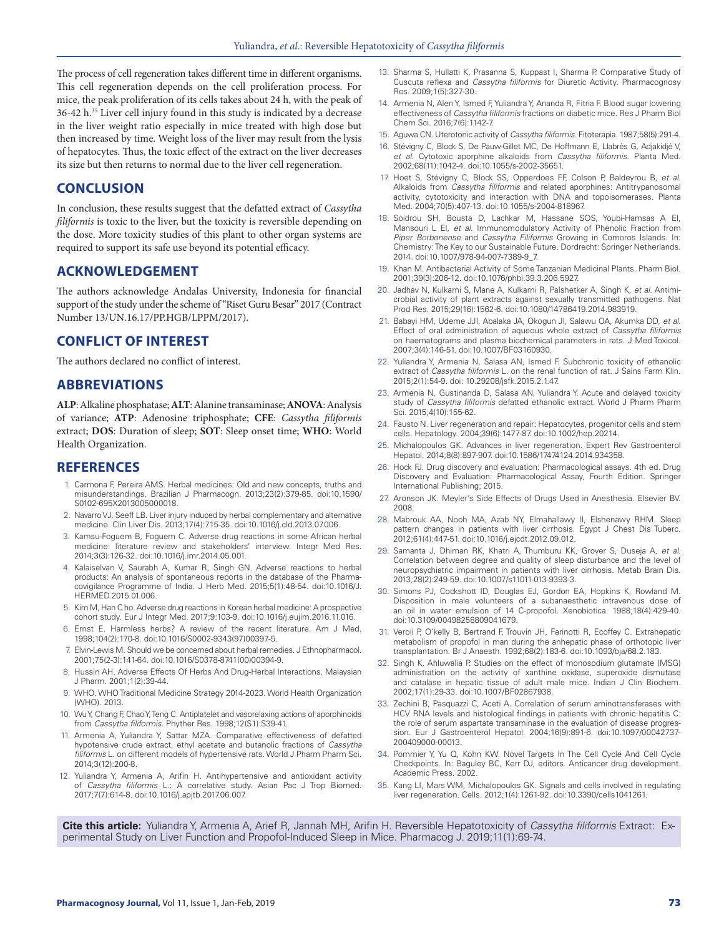The process of cell regeneration takes different time in different organisms. This cell regeneration depends on the cell proliferation process. For mice, the peak proliferation of its cells takes about 24 h, with the peak of 36-42 h.<sup>35</sup> Liver cell injury found in this study is indicated by a decrease in the liver weight ratio especially in mice treated with high dose but then increased by time. Weight loss of the liver may result from the lysis of hepatocytes. Thus, the toxic effect of the extract on the liver decreases its size but then returns to normal due to the liver cell regeneration.

## **CONCLUSION**

In conclusion, these results suggest that the defatted extract of *Cassytha filiformis* is toxic to the liver, but the toxicity is reversible depending on the dose. More toxicity studies of this plant to other organ systems are required to support its safe use beyond its potential efficacy.

#### **ACKNOWLEDGEMENT**

The authors acknowledge Andalas University, Indonesia for financial support of the study under the scheme of "Riset Guru Besar" 2017 (Contract Number 13/UN.16.17/PP.HGB/LPPM/2017).

#### **CONFLICT OF INTEREST**

The authors declared no conflict of interest.

## **ABBREVIATIONS**

**ALP**: Alkaline phosphatase; **ALT**: Alanine transaminase; **ANOVA**: Analysis of variance; **ATP**: Adenosine triphosphate; **CFE**: *Cassytha filiformis* extract; **DOS**: Duration of sleep; **SOT**: Sleep onset time; **WHO**: World Health Organization.

#### **REFERENCES**

- 1. Carmona F, Pereira AMS. Herbal medicines: Old and new concepts, truths and misunderstandings. Brazilian J Pharmacogn. 2013;23(2):379-85. doi:10.1590/ S0102-695X2013005000018.
- 2. Navarro VJ, Seeff LB. Liver injury induced by herbal complementary and alternative medicine. Clin Liver Dis. 2013;17(4):715-35. doi:10.1016/j.cld.2013.07.006.
- 3. Kamsu-Foguem B, Foguem C. Adverse drug reactions in some African herbal medicine: literature review and stakeholders' interview. Integr Med Res. 2014;3(3):126-32. doi:10.1016/j.imr.2014.05.001.
- 4. Kalaiselvan V, Saurabh A, Kumar R, Singh GN. Adverse reactions to herbal products: An analysis of spontaneous reports in the database of the Pharmacovigilance Programme of India. J Herb Med. 2015;5(1):48-54. doi:10.1016/J. HERMED.2015.01.006.
- 5. Kim M, Han C ho. Adverse drug reactions in Korean herbal medicine: A prospective cohort study. Eur J Integr Med. 2017;9:103-9. doi:10.1016/j.eujim.2016.11.016.
- 6. Ernst E. Harmless herbs? A review of the recent literature. Am J Med. 1998;104(2):170-8. doi:10.1016/S0002-9343(97)00397-5.
- 7. Elvin-Lewis M. Should we be concerned about herbal remedies. J Ethnopharmacol. 2001;75(2-3):141-64. doi:10.1016/S0378-8741(00)00394-9.
- 8. Hussin AH. Adverse Effects Of Herbs And Drug-Herbal Interactions. Malaysian J Pharm. 2001;1(2):39-44.
- 9. WHO. WHO Traditional Medicine Strategy 2014-2023. World Health Organization (WHO). 2013.
- 10. Wu Y, Chang F, Chao Y, Teng C. Antiplatelet and vasorelaxing actions of aporphinoids from *Cassytha filiformis*. Phyther Res. 1998;12(S1):S39-41.
- 11. Armenia A, Yuliandra Y, Sattar MZA. Comparative effectiveness of defatted hypotensive crude extract, ethyl acetate and butanolic fractions of *Cassytha filiformis* L. on different models of hypertensive rats. World J Pharm Pharm Sci. 2014;3(12):200-8.
- 12. Yuliandra Y, Armenia A, Arifin H. Antihypertensive and antioxidant activity of *Cassytha filiformis* L.: A correlative study. Asian Pac J Trop Biomed. 2017;7(7):614-8. doi:10.1016/j.apjtb.2017.06.007.
- 13. Sharma S, Hullatti K, Prasanna S, Kuppast I, Sharma P. Comparative Study of Cuscuta reflexa and *Cassytha filiformis* for Diuretic Activity. Pharmacognosy Res. 2009;1(5):327-30.
- 14. Armenia N, Alen Y, Ismed F, Yuliandra Y, Ananda R, Fitria F. Blood sugar lowering effectiveness of *Cassytha filiformis* fractions on diabetic mice. Res J Pharm Biol Chem Sci. 2016;7(6):1142-7.
- 15. Aguwa CN. Uterotonic activity of *Cassytha filiformis*. Fitoterapia. 1987;58(5):291-4.
- 16. Stévigny C, Block S, De Pauw-Gillet MC, De Hoffmann E, Llabrès G, Adjakidjé V, *et al*. Cytotoxic aporphine alkaloids from *Cassytha filiformis*. Planta Med. 2002;68(11):1042-4. doi:10.1055/s-2002-35651.
- 17. Hoet S, Stévigny C, Block SS, Opperdoes FF, Colson P, Baldeyrou B, *et al*. Alkaloids from *Cassytha filiformis* and related aporphines: Antitrypanosomal activity, cytotoxicity and interaction with DNA and topoisomerases. Planta Med. 2004;70(5):407-13. doi:10.1055/s-2004-818967.
- 18. Soidrou SH, Bousta D, Lachkar M, Hassane SOS, Youbi-Hamsas A El, Mansouri L El, *et al*. Immunomodulatory Activity of Phenolic Fraction from *Piper Borbonense* and *Cassytha Filiformis* Growing in Comoros Islands. In: Chemistry: The Key to our Sustainable Future. Dordrecht: Springer Netherlands. 2014. doi:10.1007/978-94-007-7389-9\_7.
- 19. Khan M. Antibacterial Activity of Some Tanzanian Medicinal Plants. Pharm Biol. 2001;39(3):206-12. doi:10.1076/phbi.39.3.206.5927.
- 20. Jadhav N, Kulkarni S, Mane A, Kulkarni R, Palshetker A, Singh K, *et al*. Antimicrobial activity of plant extracts against sexually transmitted pathogens. Nat Prod Res. 2015;29(16):1562-6. doi:10.1080/14786419.2014.983919.
- 21. Babayi HM, Udeme JJI, Abalaka JA, Okogun JI, Salawu OA, Akumka DD, *et al*. Effect of oral administration of aqueous whole extract of *Cassytha filiformis* on haematograms and plasma biochemical parameters in rats. J Med Toxicol. 2007;3(4):146-51. doi:10.1007/BF03160930.
- 22. Yuliandra Y, Armenia N, Salasa AN, Ismed F. Subchronic toxicity of ethanolic extract of *Cassytha filiformis* L. on the renal function of rat. J Sains Farm Klin. 2015;2(1):54-9. doi: 10.29208/jsfk.2015.2.1.47.
- 23. Armenia N, Gustinanda D, Salasa AN, Yuliandra Y. Acute and delayed toxicity study of *Cassytha filiformis* defatted ethanolic extract. World J Pharm Pharm Sci. 2015;4(10):155-62.
- 24. Fausto N. Liver regeneration and repair: Hepatocytes, progenitor cells and stem cells. Hepatology. 2004;39(6):1477-87. doi:10.1002/hep.20214.
- 25. Michalopoulos GK. Advances in liver regeneration. Expert Rev Gastroenterol Hepatol. 2014;8(8):897-907. doi:10.1586/17474124.2014.934358.
- 26. Hock FJ. Drug discovery and evaluation: Pharmacological assays. 4th ed. Drug Discovery and Evaluation: Pharmacological Assay, Fourth Edition. Springer International Publishing; 2015.
- 27. Aronson JK. Meyler's Side Effects of Drugs Used in Anesthesia. Elsevier BV. 2008.
- 28. Mabrouk AA, Nooh MA, Azab NY, Elmahallawy II, Elshenawy RHM. Sleep pattern changes in patients with liver cirrhosis. Egypt J Chest Dis Tuberc. 2012;61(4):447-51. doi:10.1016/j.ejcdt.2012.09.012.
- 29. Samanta J, Dhiman RK, Khatri A, Thumburu KK, Grover S, Duseja A, *et al*. Correlation between degree and quality of sleep disturbance and the level of neuropsychiatric impairment in patients with liver cirrhosis. Metab Brain Dis. 2013;28(2):249-59. doi:10.1007/s11011-013-9393-3.
- 30. Simons PJ, Cockshott ID, Douglas EJ, Gordon EA, Hopkins K, Rowland M. Disposition in male volunteers of a subanaesthetic intravenous dose of an oil in water emulsion of 14 C-propofol. Xenobiotica. 1988;18(4):429-40. doi:10.3109/00498258809041679.
- 31. Veroli P, O'kelly B, Bertrand F, Trouvin JH, Farinotti R, Ecoffey C. Extrahepatic metabolism of propofol in man during the anhepatic phase of orthotopic liver transplantation. Br J Anaesth. 1992;68(2):183-6. doi:10.1093/bja/68.2.183.
- 32. Singh K, Ahluwalia P. Studies on the effect of monosodium glutamate (MSG) administration on the activity of xanthine oxidase, superoxide dismutase and catalase in hepatic tissue of adult male mice. Indian J Clin Biochem. 2002;17(1):29-33. doi:10.1007/BF02867938.
- 33. Zechini B, Pasquazzi C, Aceti A. Correlation of serum aminotransferases with HCV RNA levels and histological findings in patients with chronic hepatitis C: the role of serum aspartate transaminase in the evaluation of disease progression. Eur J Gastroenterol Hepatol. 2004;16(9):891-6. doi:10.1097/00042737- 200409000-00013.
- 34. Pommier Y, Yu Q, Kohn KW. Novel Targets In The Cell Cycle And Cell Cycle Checkpoints. In: Baguley BC, Kerr DJ, editors. Anticancer drug development. Academic Press. 2002.
- 35. Kang LI, Mars WM, Michalopoulos GK. Signals and cells involved in regulating liver regeneration. Cells. 2012;1(4):1261-92. doi:10.3390/cells1041261.

**Cite this article:** Yuliandra Y, Armenia A, Arief R, Jannah MH, Arifin H. Reversible Hepatotoxicity of *Cassytha filiformis* Extract: Experimental Study on Liver Function and Propofol-Induced Sleep in Mice. Pharmacog J. 2019;11(1):69-74.